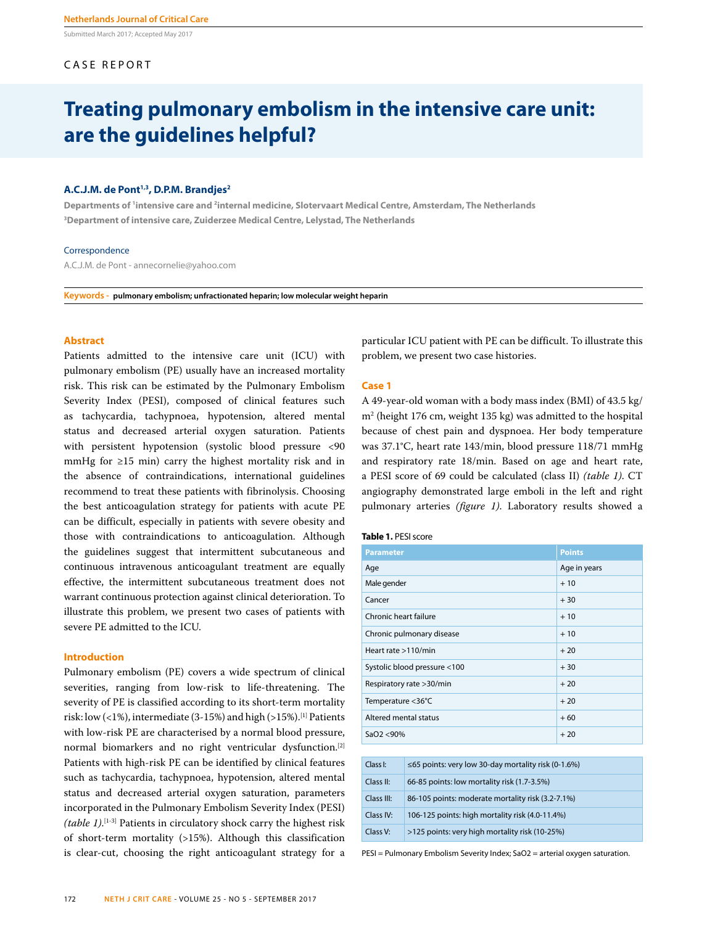Submitted March 2017; Accepted May 2017

# CASE REPORT

# **Treating pulmonary embolism in the intensive care unit: are the guidelines helpful?**

## A.C.J.M. de Pont<sup>1,3</sup>, D.P.M. Brandjes<sup>2</sup>

**Departments of 1 intensive care and 2 internal medicine, Slotervaart Medical Centre, Amsterdam, The Netherlands 3 Department of intensive care, Zuiderzee Medical Centre, Lelystad, The Netherlands**

#### **Correspondence**

A.C.J.M. de Pont - annecornelie@yahoo.com

**Keywords - pulmonary embolism; unfractionated heparin; low molecular weight heparin**

# **Abstract**

Patients admitted to the intensive care unit (ICU) with pulmonary embolism (PE) usually have an increased mortality risk. This risk can be estimated by the Pulmonary Embolism Severity Index (PESI), composed of clinical features such as tachycardia, tachypnoea, hypotension, altered mental status and decreased arterial oxygen saturation. Patients with persistent hypotension (systolic blood pressure <90 mmHg for ≥15 min) carry the highest mortality risk and in the absence of contraindications, international guidelines recommend to treat these patients with fibrinolysis. Choosing the best anticoagulation strategy for patients with acute PE can be difficult, especially in patients with severe obesity and those with contraindications to anticoagulation. Although the guidelines suggest that intermittent subcutaneous and continuous intravenous anticoagulant treatment are equally effective, the intermittent subcutaneous treatment does not warrant continuous protection against clinical deterioration. To illustrate this problem, we present two cases of patients with severe PE admitted to the ICU.

#### **Introduction**

Pulmonary embolism (PE) covers a wide spectrum of clinical severities, ranging from low-risk to life-threatening. The severity of PE is classified according to its short-term mortality risk: low  $($ <1%), intermediate  $(3-15%)$  and high  $($ >15%).<sup>[1]</sup> Patients with low-risk PE are characterised by a normal blood pressure, normal biomarkers and no right ventricular dysfunction.[2] Patients with high-risk PE can be identified by clinical features such as tachycardia, tachypnoea, hypotension, altered mental status and decreased arterial oxygen saturation, parameters incorporated in the Pulmonary Embolism Severity Index (PESI) *(table 1)*. [1-3] Patients in circulatory shock carry the highest risk of short-term mortality (>15%). Although this classification is clear-cut, choosing the right anticoagulant strategy for a

particular ICU patient with PE can be difficult. To illustrate this problem, we present two case histories.

#### **Case 1**

A 49-year-old woman with a body mass index (BMI) of 43.5 kg/ m2 (height 176 cm, weight 135 kg) was admitted to the hospital because of chest pain and dyspnoea. Her body temperature was 37.1°C, heart rate 143/min, blood pressure 118/71 mmHg and respiratory rate 18/min. Based on age and heart rate, a PESI score of 69 could be calculated (class II) *(table 1)*. CT angiography demonstrated large emboli in the left and right pulmonary arteries *(figure 1)*. Laboratory results showed a

#### **Table 1.** PESI score

| <b>Parameter</b>             | <b>Points</b> |
|------------------------------|---------------|
| Age                          | Age in years  |
| Male gender                  | $+10$         |
| Cancer                       | $+30$         |
| Chronic heart failure        | $+10$         |
| Chronic pulmonary disease    | $+10$         |
| Heart rate >110/min          | $+20$         |
| Systolic blood pressure <100 | $+30$         |
| Respiratory rate > 30/min    | $+20$         |
| Temperature <36°C            | $+20$         |
| Altered mental status        | $+60$         |
| SaO2 < 90%                   | $+20$         |

| Class I:   | $\leq$ 65 points: very low 30-day mortality risk (0-1.6%) |
|------------|-----------------------------------------------------------|
| Class II:  | 66-85 points: low mortality risk (1.7-3.5%)               |
| Class III: | 86-105 points: moderate mortality risk (3.2-7.1%)         |
| Class IV:  | 106-125 points: high mortality risk (4.0-11.4%)           |
| Class V:   | >125 points: very high mortality risk (10-25%)            |

PESI = Pulmonary Embolism Severity Index; SaO2 = arterial oxygen saturation.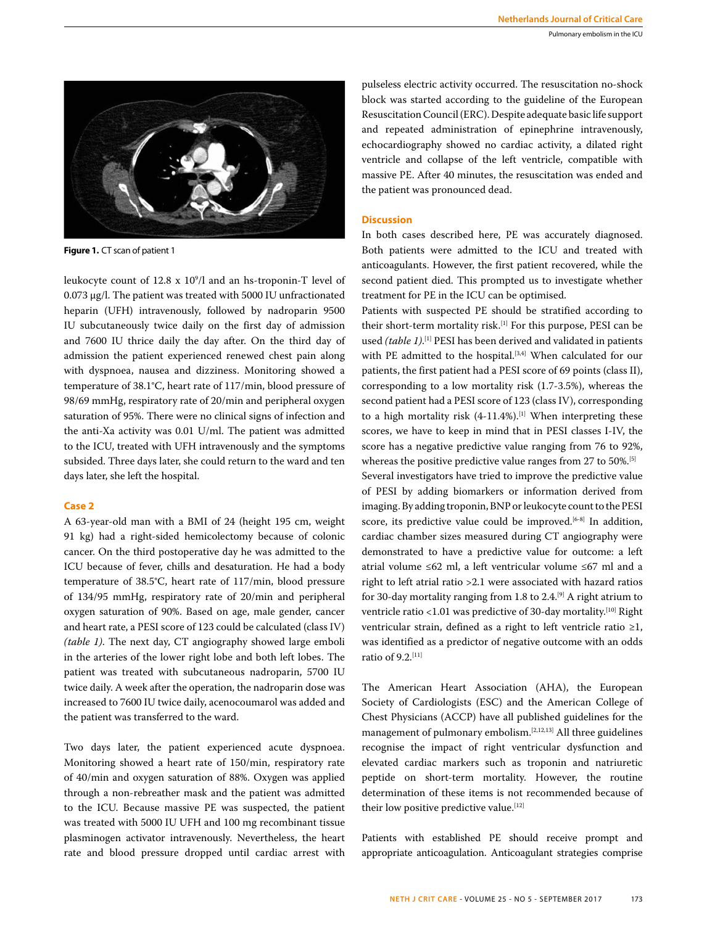

**Figure 1.** CT scan of patient 1

leukocyte count of 12.8 x 109 /l and an hs-troponin-T level of 0.073 μg/l. The patient was treated with 5000 IU unfractionated heparin (UFH) intravenously, followed by nadroparin 9500 IU subcutaneously twice daily on the first day of admission and 7600 IU thrice daily the day after. On the third day of admission the patient experienced renewed chest pain along with dyspnoea, nausea and dizziness. Monitoring showed a temperature of 38.1°C, heart rate of 117/min, blood pressure of 98/69 mmHg, respiratory rate of 20/min and peripheral oxygen saturation of 95%. There were no clinical signs of infection and the anti-Xa activity was 0.01 U/ml. The patient was admitted to the ICU, treated with UFH intravenously and the symptoms subsided. Three days later, she could return to the ward and ten days later, she left the hospital.

## **Case 2**

A 63-year-old man with a BMI of 24 (height 195 cm, weight 91 kg) had a right-sided hemicolectomy because of colonic cancer. On the third postoperative day he was admitted to the ICU because of fever, chills and desaturation. He had a body temperature of 38.5°C, heart rate of 117/min, blood pressure of 134/95 mmHg, respiratory rate of 20/min and peripheral oxygen saturation of 90%. Based on age, male gender, cancer and heart rate, a PESI score of 123 could be calculated (class IV) *(table 1)*. The next day, CT angiography showed large emboli in the arteries of the lower right lobe and both left lobes. The patient was treated with subcutaneous nadroparin, 5700 IU twice daily. A week after the operation, the nadroparin dose was increased to 7600 IU twice daily, acenocoumarol was added and the patient was transferred to the ward.

Two days later, the patient experienced acute dyspnoea. Monitoring showed a heart rate of 150/min, respiratory rate of 40/min and oxygen saturation of 88%. Oxygen was applied through a non-rebreather mask and the patient was admitted to the ICU. Because massive PE was suspected, the patient was treated with 5000 IU UFH and 100 mg recombinant tissue plasminogen activator intravenously. Nevertheless, the heart rate and blood pressure dropped until cardiac arrest with

pulseless electric activity occurred. The resuscitation no-shock block was started according to the guideline of the European Resuscitation Council (ERC). Despite adequate basic life support and repeated administration of epinephrine intravenously, echocardiography showed no cardiac activity, a dilated right ventricle and collapse of the left ventricle, compatible with massive PE. After 40 minutes, the resuscitation was ended and the patient was pronounced dead.

# **Discussion**

In both cases described here, PE was accurately diagnosed. Both patients were admitted to the ICU and treated with anticoagulants. However, the first patient recovered, while the second patient died. This prompted us to investigate whether treatment for PE in the ICU can be optimised.

Patients with suspected PE should be stratified according to their short-term mortality risk.<sup>[1]</sup> For this purpose, PESI can be used *(table 1)*. [1] PESI has been derived and validated in patients with PE admitted to the hospital.<sup>[3,4]</sup> When calculated for our patients, the first patient had a PESI score of 69 points (class II), corresponding to a low mortality risk (1.7-3.5%), whereas the second patient had a PESI score of 123 (class IV), corresponding to a high mortality risk  $(4-11.4\%)$ . [1] When interpreting these scores, we have to keep in mind that in PESI classes I-IV, the score has a negative predictive value ranging from 76 to 92%, whereas the positive predictive value ranges from 27 to 50%.<sup>[5]</sup>

Several investigators have tried to improve the predictive value of PESI by adding biomarkers or information derived from imaging. By adding troponin, BNP or leukocyte count to the PESI score, its predictive value could be improved.<sup>[6-8]</sup> In addition, cardiac chamber sizes measured during CT angiography were demonstrated to have a predictive value for outcome: a left atrial volume ≤62 ml, a left ventricular volume ≤67 ml and a right to left atrial ratio >2.1 were associated with hazard ratios for 30-day mortality ranging from 1.8 to 2.4.<sup>[9]</sup> A right atrium to ventricle ratio <1.01 was predictive of 30-day mortality.<sup>[10]</sup> Right ventricular strain, defined as a right to left ventricle ratio ≥1, was identified as a predictor of negative outcome with an odds ratio of 9.2.[11]

The American Heart Association (AHA), the European Society of Cardiologists (ESC) and the American College of Chest Physicians (ACCP) have all published guidelines for the management of pulmonary embolism.[2,12,13] All three guidelines recognise the impact of right ventricular dysfunction and elevated cardiac markers such as troponin and natriuretic peptide on short-term mortality. However, the routine determination of these items is not recommended because of their low positive predictive value.[12]

Patients with established PE should receive prompt and appropriate anticoagulation. Anticoagulant strategies comprise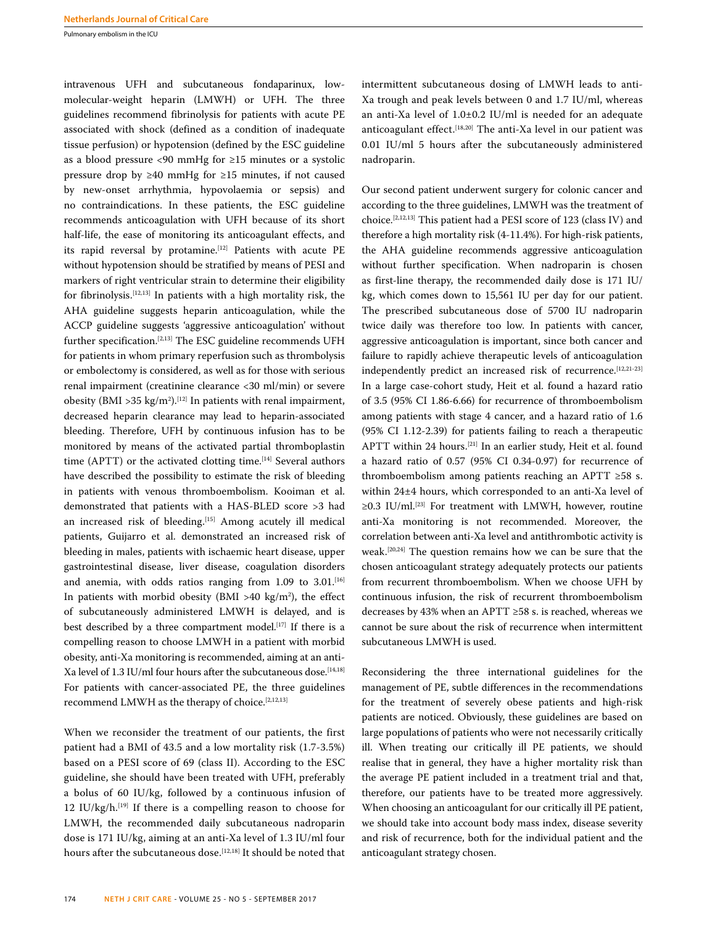intravenous UFH and subcutaneous fondaparinux, lowmolecular-weight heparin (LMWH) or UFH. The three guidelines recommend fibrinolysis for patients with acute PE associated with shock (defined as a condition of inadequate tissue perfusion) or hypotension (defined by the ESC guideline as a blood pressure <90 mmHg for ≥15 minutes or a systolic pressure drop by ≥40 mmHg for ≥15 minutes, if not caused by new-onset arrhythmia, hypovolaemia or sepsis) and no contraindications. In these patients, the ESC guideline recommends anticoagulation with UFH because of its short half-life, the ease of monitoring its anticoagulant effects, and its rapid reversal by protamine.<sup>[12]</sup> Patients with acute PE without hypotension should be stratified by means of PESI and markers of right ventricular strain to determine their eligibility for fibrinolysis.[12,13] In patients with a high mortality risk, the AHA guideline suggests heparin anticoagulation, while the ACCP guideline suggests 'aggressive anticoagulation' without further specification.[2,13] The ESC guideline recommends UFH for patients in whom primary reperfusion such as thrombolysis or embolectomy is considered, as well as for those with serious renal impairment (creatinine clearance <30 ml/min) or severe obesity (BMI >  $35 \text{ kg/m}^2$ ).<sup>[12]</sup> In patients with renal impairment, decreased heparin clearance may lead to heparin-associated bleeding. Therefore, UFH by continuous infusion has to be monitored by means of the activated partial thromboplastin time (APTT) or the activated clotting time.<sup>[14]</sup> Several authors have described the possibility to estimate the risk of bleeding in patients with venous thromboembolism. Kooiman et al. demonstrated that patients with a HAS-BLED score >3 had an increased risk of bleeding.<sup>[15]</sup> Among acutely ill medical patients, Guijarro et al. demonstrated an increased risk of bleeding in males, patients with ischaemic heart disease, upper gastrointestinal disease, liver disease, coagulation disorders and anemia, with odds ratios ranging from  $1.09$  to  $3.01$ .<sup>[16]</sup> In patients with morbid obesity (BMI >40 kg/m2 ), the effect of subcutaneously administered LMWH is delayed, and is best described by a three compartment model.<sup>[17]</sup> If there is a compelling reason to choose LMWH in a patient with morbid obesity, anti-Xa monitoring is recommended, aiming at an anti-Xa level of 1.3 IU/ml four hours after the subcutaneous dose.<sup>[14,18]</sup> For patients with cancer-associated PE, the three guidelines recommend LMWH as the therapy of choice.<sup>[2,12,13]</sup>

When we reconsider the treatment of our patients, the first patient had a BMI of 43.5 and a low mortality risk (1.7-3.5%) based on a PESI score of 69 (class II). According to the ESC guideline, she should have been treated with UFH, preferably a bolus of 60 IU/kg, followed by a continuous infusion of 12 IU/kg/h. $[19]$  If there is a compelling reason to choose for LMWH, the recommended daily subcutaneous nadroparin dose is 171 IU/kg, aiming at an anti-Xa level of 1.3 IU/ml four hours after the subcutaneous dose.<sup>[12,18]</sup> It should be noted that intermittent subcutaneous dosing of LMWH leads to anti-Xa trough and peak levels between 0 and 1.7 IU/ml, whereas an anti-Xa level of 1.0±0.2 IU/ml is needed for an adequate anticoagulant effect.<sup>[18,20]</sup> The anti-Xa level in our patient was 0.01 IU/ml 5 hours after the subcutaneously administered nadroparin.

Our second patient underwent surgery for colonic cancer and according to the three guidelines, LMWH was the treatment of choice.[2,12,13] This patient had a PESI score of 123 (class IV) and therefore a high mortality risk (4-11.4%). For high-risk patients, the AHA guideline recommends aggressive anticoagulation without further specification. When nadroparin is chosen as first-line therapy, the recommended daily dose is 171 IU/ kg, which comes down to 15,561 IU per day for our patient. The prescribed subcutaneous dose of 5700 IU nadroparin twice daily was therefore too low. In patients with cancer, aggressive anticoagulation is important, since both cancer and failure to rapidly achieve therapeutic levels of anticoagulation independently predict an increased risk of recurrence.<sup>[12,21-23]</sup> In a large case-cohort study, Heit et al. found a hazard ratio of 3.5 (95% CI 1.86-6.66) for recurrence of thromboembolism among patients with stage 4 cancer, and a hazard ratio of 1.6 (95% CI 1.12-2.39) for patients failing to reach a therapeutic APTT within 24 hours.[21] In an earlier study, Heit et al. found a hazard ratio of 0.57 (95% CI 0.34-0.97) for recurrence of thromboembolism among patients reaching an APTT ≥58 s. within 24±4 hours, which corresponded to an anti-Xa level of ≥0.3 IU/ml.[23] For treatment with LMWH, however, routine anti-Xa monitoring is not recommended. Moreover, the correlation between anti-Xa level and antithrombotic activity is weak.[20,24] The question remains how we can be sure that the chosen anticoagulant strategy adequately protects our patients from recurrent thromboembolism. When we choose UFH by continuous infusion, the risk of recurrent thromboembolism decreases by 43% when an APTT ≥58 s. is reached, whereas we cannot be sure about the risk of recurrence when intermittent subcutaneous LMWH is used.

Reconsidering the three international guidelines for the management of PE, subtle differences in the recommendations for the treatment of severely obese patients and high-risk patients are noticed. Obviously, these guidelines are based on large populations of patients who were not necessarily critically ill. When treating our critically ill PE patients, we should realise that in general, they have a higher mortality risk than the average PE patient included in a treatment trial and that, therefore, our patients have to be treated more aggressively. When choosing an anticoagulant for our critically ill PE patient, we should take into account body mass index, disease severity and risk of recurrence, both for the individual patient and the anticoagulant strategy chosen.